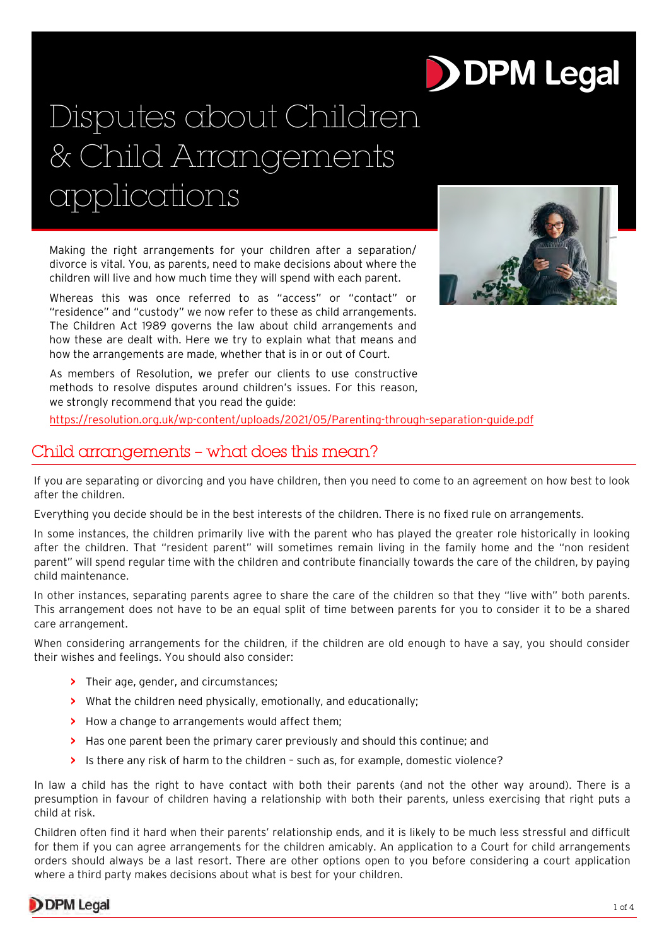# **DPM Legal**

## Disputes about Children & Child Arrangements applications

Making the right arrangements for your children after a separation/ divorce is vital. You, as parents, need to make decisions about where the children will live and how much time they will spend with each parent.

Whereas this was once referred to as "access" or "contact" or "residence" and "custody" we now refer to these as child arrangements. The Children Act 1989 governs the law about child arrangements and how these are dealt with. Here we try to explain what that means and how the arrangements are made, whether that is in or out of Court.



As members of Resolution, we prefer our clients to use constructive methods to resolve disputes around children's issues. For this reason, we strongly recommend that you read the guide:

<https://resolution.org.uk/wp-content/uploads/2021/05/Parenting-through-separation-guide.pdf>

## Child arrangements – what does this mean?

If you are separating or divorcing and you have children, then you need to come to an agreement on how best to look after the children.

Everything you decide should be in the best interests of the children. There is no fixed rule on arrangements.

In some instances, the children primarily live with the parent who has played the greater role historically in looking after the children. That "resident parent" will sometimes remain living in the family home and the "non resident parent" will spend regular time with the children and contribute financially towards the care of the children, by paying child maintenance.

In other instances, separating parents agree to share the care of the children so that they "live with" both parents. This arrangement does not have to be an equal split of time between parents for you to consider it to be a shared care arrangement.

When considering arrangements for the children, if the children are old enough to have a say, you should consider their wishes and feelings. You should also consider:

- **>** Their age, gender, and circumstances;
- **>** What the children need physically, emotionally, and educationally;
- **>** How a change to arrangements would affect them;
- **>** Has one parent been the primary carer previously and should this continue; and
- **>** Is there any risk of harm to the children such as, for example, domestic violence?

In law a child has the right to have contact with both their parents (and not the other way around). There is a presumption in favour of children having a relationship with both their parents, unless exercising that right puts a child at risk.

Children often find it hard when their parents' relationship ends, and it is likely to be much less stressful and difficult for them if you can agree arrangements for the children amicably. An application to a Court for child arrangements orders should always be a last resort. There are other options open to you before considering a court application where a third party makes decisions about what is best for your children.

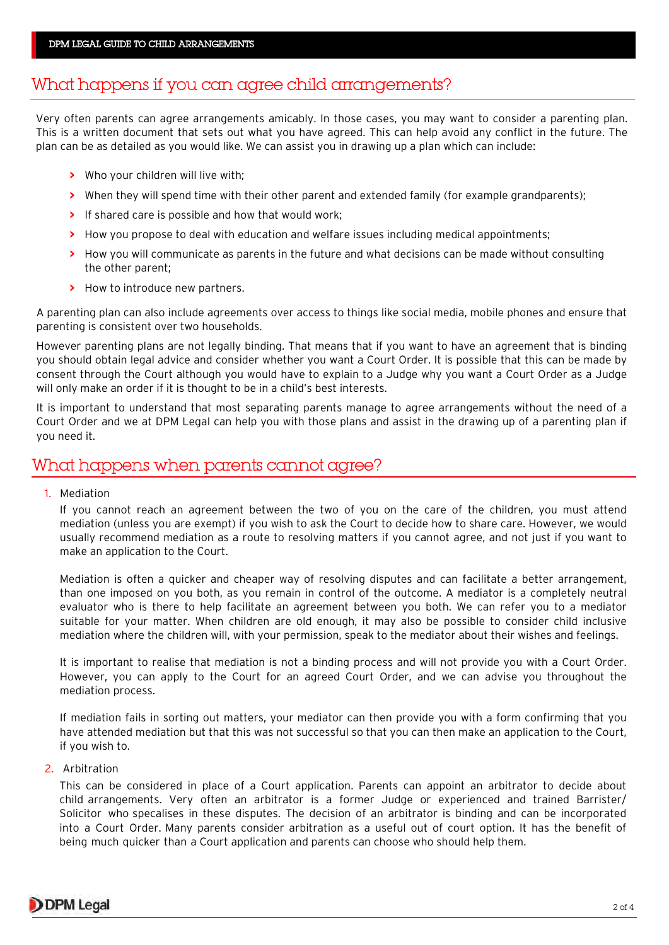## What happens if you can agree child arrangements?

Very often parents can agree arrangements amicably. In those cases, you may want to consider a parenting plan. This is a written document that sets out what you have agreed. This can help avoid any conflict in the future. The plan can be as detailed as you would like. We can assist you in drawing up a plan which can include:

- **>** Who your children will live with;
- **>** When they will spend time with their other parent and extended family (for example grandparents);
- **>** If shared care is possible and how that would work;
- **>** How you propose to deal with education and welfare issues including medical appointments;
- **>** How you will communicate as parents in the future and what decisions can be made without consulting the other parent;
- **>** How to introduce new partners.

A parenting plan can also include agreements over access to things like social media, mobile phones and ensure that parenting is consistent over two households.

However parenting plans are not legally binding. That means that if you want to have an agreement that is binding you should obtain legal advice and consider whether you want a Court Order. It is possible that this can be made by consent through the Court although you would have to explain to a Judge why you want a Court Order as a Judge will only make an order if it is thought to be in a child's best interests.

It is important to understand that most separating parents manage to agree arrangements without the need of a Court Order and we at DPM Legal can help you with those plans and assist in the drawing up of a parenting plan if you need it.

### What happens when parents cannot agree?

1. Mediation

If you cannot reach an agreement between the two of you on the care of the children, you must attend mediation (unless you are exempt) if you wish to ask the Court to decide how to share care. However, we would usually recommend mediation as a route to resolving matters if you cannot agree, and not just if you want to make an application to the Court.

Mediation is often a quicker and cheaper way of resolving disputes and can facilitate a better arrangement, than one imposed on you both, as you remain in control of the outcome. A mediator is a completely neutral evaluator who is there to help facilitate an agreement between you both. We can refer you to a mediator suitable for your matter. When children are old enough, it may also be possible to consider child inclusive mediation where the children will, with your permission, speak to the mediator about their wishes and feelings.

It is important to realise that mediation is not a binding process and will not provide you with a Court Order. However, you can apply to the Court for an agreed Court Order, and we can advise you throughout the mediation process.

If mediation fails in sorting out matters, your mediator can then provide you with a form confirming that you have attended mediation but that this was not successful so that you can then make an application to the Court, if you wish to.

#### 2. Arbitration

This can be considered in place of a Court application. Parents can appoint an arbitrator to decide about child arrangements. Very often an arbitrator is a former Judge or experienced and trained Barrister/ Solicitor who specalises in these disputes. The decision of an arbitrator is binding and can be incorporated into a Court Order. Many parents consider arbitration as a useful out of court option. It has the benefit of being much quicker than a Court application and parents can choose who should help them.

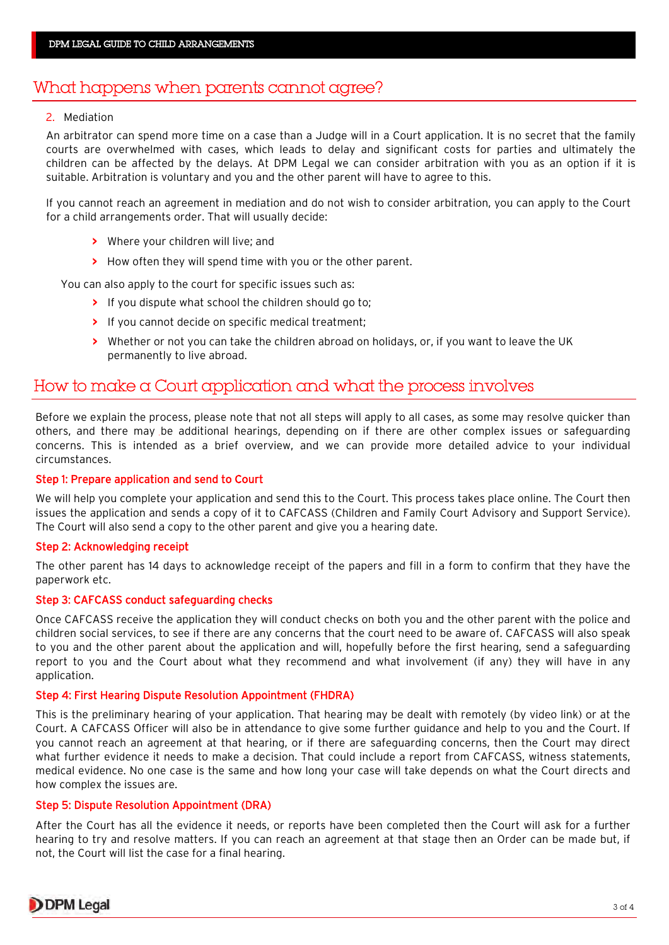## What happens when parents cannot agree?

#### 2. Mediation

An arbitrator can spend more time on a case than a Judge will in a Court application. It is no secret that the family courts are overwhelmed with cases, which leads to delay and significant costs for parties and ultimately the children can be affected by the delays. At DPM Legal we can consider arbitration with you as an option if it is suitable. Arbitration is voluntary and you and the other parent will have to agree to this.

If you cannot reach an agreement in mediation and do not wish to consider arbitration, you can apply to the Court for a child arrangements order. That will usually decide:

- **>** Where your children will live; and
- **>** How often they will spend time with you or the other parent.

You can also apply to the court for specific issues such as:

- **>** If you dispute what school the children should go to;
- **>** If you cannot decide on specific medical treatment;
- **>** Whether or not you can take the children abroad on holidays, or, if you want to leave the UK permanently to live abroad.

## How to make a Court application and what the process involves

Before we explain the process, please note that not all steps will apply to all cases, as some may resolve quicker than others, and there may be additional hearings, depending on if there are other complex issues or safeguarding concerns. This is intended as a brief overview, and we can provide more detailed advice to your individual circumstances.

#### Step 1: Prepare application and send to Court

We will help you complete your application and send this to the Court. This process takes place online. The Court then issues the application and sends a copy of it to CAFCASS (Children and Family Court Advisory and Support Service). The Court will also send a copy to the other parent and give you a hearing date.

#### Step 2: Acknowledging receipt

The other parent has 14 days to acknowledge receipt of the papers and fill in a form to confirm that they have the paperwork etc.

#### Step 3: CAFCASS conduct safeguarding checks

Once CAFCASS receive the application they will conduct checks on both you and the other parent with the police and children social services, to see if there are any concerns that the court need to be aware of. CAFCASS will also speak to you and the other parent about the application and will, hopefully before the first hearing, send a safeguarding report to you and the Court about what they recommend and what involvement (if any) they will have in any application.

#### Step 4: First Hearing Dispute Resolution Appointment (FHDRA)

This is the preliminary hearing of your application. That hearing may be dealt with remotely (by video link) or at the Court. A CAFCASS Officer will also be in attendance to give some further guidance and help to you and the Court. If you cannot reach an agreement at that hearing, or if there are safeguarding concerns, then the Court may direct what further evidence it needs to make a decision. That could include a report from CAFCASS, witness statements, medical evidence. No one case is the same and how long your case will take depends on what the Court directs and how complex the issues are.

#### Step 5: Dispute Resolution Appointment (DRA)

After the Court has all the evidence it needs, or reports have been completed then the Court will ask for a further hearing to try and resolve matters. If you can reach an agreement at that stage then an Order can be made but, if not, the Court will list the case for a final hearing.